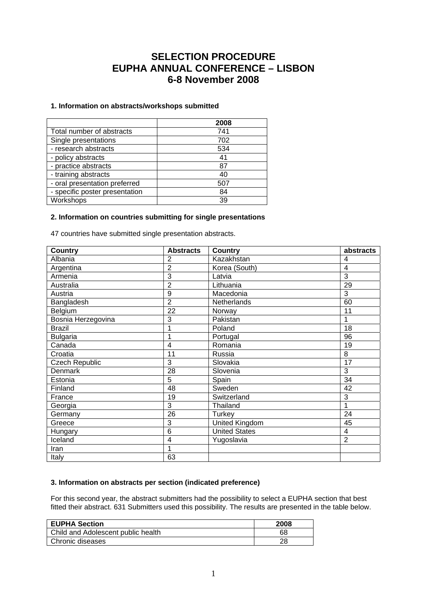# **SELECTION PROCEDURE EUPHA ANNUAL CONFERENCE – LISBON 6-8 November 2008**

# **1. Information on abstracts/workshops submitted**

|                                | 2008 |
|--------------------------------|------|
| Total number of abstracts      | 741  |
| Single presentations           | 702  |
| - research abstracts           | 534  |
| - policy abstracts             | 41   |
| - practice abstracts           | 87   |
| - training abstracts           | 40   |
| - oral presentation preferred  | 507  |
| - specific poster presentation | 84   |
| Workshops                      | 39   |

## **2. Information on countries submitting for single presentations**

47 countries have submitted single presentation abstracts.

| <b>Country</b>     | <b>Abstracts</b> | <b>Country</b>       | abstracts       |
|--------------------|------------------|----------------------|-----------------|
| Albania            | 2                | Kazakhstan           | 4               |
| Argentina          | 2                | Korea (South)        | 4               |
| Armenia            | 3                | Latvia               | 3               |
| Australia          | 2                | Lithuania            | 29              |
| Austria            | 9                | Macedonia            | 3               |
| Bangladesh         | $\overline{2}$   | Netherlands          | 60              |
| Belgium            | 22               | Norway               | 11              |
| Bosnia Herzegovina | 3                | Pakistan             |                 |
| <b>Brazil</b>      |                  | Poland               | 18              |
| Bulgaria           |                  | Portugal             | 96              |
| Canada             | 4                | Romania              | 19              |
| Croatia            | 11               | Russia               | 8               |
| Czech Republic     | 3                | Slovakia             | 17              |
| <b>Denmark</b>     | 28               | Slovenia             | 3               |
| Estonia            | 5                | Spain                | $\overline{34}$ |
| Finland            | 48               | Sweden               | 42              |
| France             | 19               | Switzerland          | 3               |
| Georgia            | 3                | Thailand             | 1               |
| Germany            | 26               | Turkey               | 24              |
| Greece             | 3                | United Kingdom       | 45              |
| Hungary            | 6                | <b>United States</b> | 4               |
| Iceland            | 4                | Yugoslavia           | $\overline{2}$  |
| Iran               | 1                |                      |                 |
| Italy              | 63               |                      |                 |

# **3. Information on abstracts per section (indicated preference)**

For this second year, the abstract submitters had the possibility to select a EUPHA section that best fitted their abstract. 631 Submitters used this possibility. The results are presented in the table below.

| <b>EUPHA Section</b>               | 2008 |
|------------------------------------|------|
| Child and Adolescent public health | 68   |
| Chronic diseases                   | 28   |